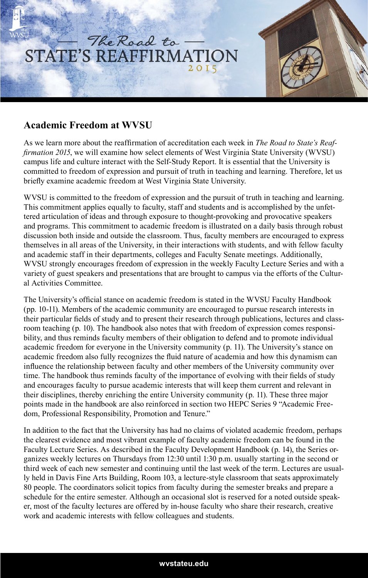



As we learn more about the reaffirmation of accreditation each week in *The Road to State's Reaffirmation 2015*, we will examine how select elements of West Virginia State University (WVSU) campus life and culture interact with the Self-Study Report. It is essential that the University is committed to freedom of expression and pursuit of truth in teaching and learning. Therefore, let us briefly examine academic freedom at West Virginia State University.

WVSU is committed to the freedom of expression and the pursuit of truth in teaching and learning. This commitment applies equally to faculty, staff and students and is accomplished by the unfettered articulation of ideas and through exposure to thought-provoking and provocative speakers and programs. This commitment to academic freedom is illustrated on a daily basis through robust discussion both inside and outside the classroom. Thus, faculty members are encouraged to express themselves in all areas of the University, in their interactions with students, and with fellow faculty and academic staff in their departments, colleges and Faculty Senate meetings. Additionally, WVSU strongly encourages freedom of expression in the weekly Faculty Lecture Series and with a variety of guest speakers and presentations that are brought to campus via the efforts of the Cultural Activities Committee.

The University's official stance on academic freedom is stated in the WVSU Faculty Handbook (pp. 10-11). Members of the academic community are encouraged to pursue research interests in their particular fields of study and to present their research through publications, lectures and classroom teaching (p. 10). The handbook also notes that with freedom of expression comes responsibility, and thus reminds faculty members of their obligation to defend and to promote individual academic freedom for everyone in the University community (p. 11). The University's stance on academic freedom also fully recognizes the fluid nature of academia and how this dynamism can influence the relationship between faculty and other members of the University community over time. The handbook thus reminds faculty of the importance of evolving with their fields of study and encourages faculty to pursue academic interests that will keep them current and relevant in their disciplines, thereby enriching the entire University community (p. 11). These three major points made in the handbook are also reinforced in section two HEPC Series 9 "Academic Freedom, Professional Responsibility, Promotion and Tenure."

In addition to the fact that the University has had no claims of violated academic freedom, perhaps the clearest evidence and most vibrant example of faculty academic freedom can be found in the Faculty Lecture Series. As described in the Faculty Development Handbook (p. 14), the Series organizes weekly lectures on Thursdays from 12:30 until 1:30 p.m. usually starting in the second or third week of each new semester and continuing until the last week of the term. Lectures are usually held in Davis Fine Arts Building, Room 103, a lecture-style classroom that seats approximately 80 people. The coordinators solicit topics from faculty during the semester breaks and prepare a schedule for the entire semester. Although an occasional slot is reserved for a noted outside speaker, most of the faculty lectures are offered by in-house faculty who share their research, creative work and academic interests with fellow colleagues and students.